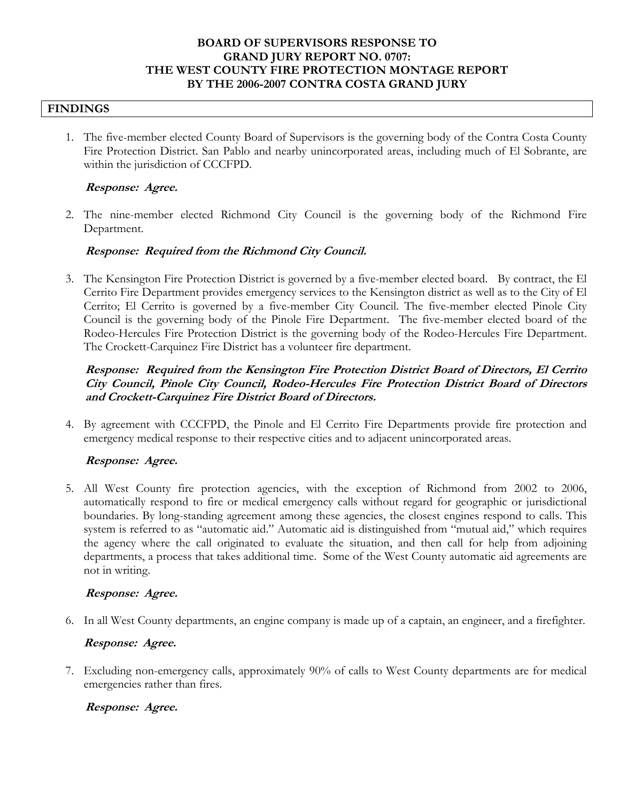# **BOARD OF SUPERVISORS RESPONSE TO GRAND JURY REPORT NO. 0707: THE WEST COUNTY FIRE PROTECTION MONTAGE REPORT BY THE 2006-2007 CONTRA COSTA GRAND JURY**

#### **FINDINGS**

1. The five-member elected County Board of Supervisors is the governing body of the Contra Costa County Fire Protection District. San Pablo and nearby unincorporated areas, including much of El Sobrante, are within the jurisdiction of CCCFPD.

#### **Response: Agree.**

2. The nine-member elected Richmond City Council is the governing body of the Richmond Fire Department.

### **Response: Required from the Richmond City Council.**

3. The Kensington Fire Protection District is governed by a five-member elected board. By contract, the El Cerrito Fire Department provides emergency services to the Kensington district as well as to the City of El Cerrito; El Cerrito is governed by a five-member City Council. The five-member elected Pinole City Council is the governing body of the Pinole Fire Department. The five-member elected board of the Rodeo-Hercules Fire Protection District is the governing body of the Rodeo-Hercules Fire Department. The Crockett-Carquinez Fire District has a volunteer fire department.

# **Response: Required from the Kensington Fire Protection District Board of Directors, El Cerrito City Council, Pinole City Council, Rodeo-Hercules Fire Protection District Board of Directors and Crockett-Carquinez Fire District Board of Directors.**

4. By agreement with CCCFPD, the Pinole and El Cerrito Fire Departments provide fire protection and emergency medical response to their respective cities and to adjacent unincorporated areas.

### **Response: Agree.**

5. All West County fire protection agencies, with the exception of Richmond from 2002 to 2006, automatically respond to fire or medical emergency calls without regard for geographic or jurisdictional boundaries. By long-standing agreement among these agencies, the closest engines respond to calls. This system is referred to as "automatic aid." Automatic aid is distinguished from "mutual aid," which requires the agency where the call originated to evaluate the situation, and then call for help from adjoining departments, a process that takes additional time. Some of the West County automatic aid agreements are not in writing.

### **Response: Agree.**

6. In all West County departments, an engine company is made up of a captain, an engineer, and a firefighter.

### **Response: Agree.**

7. Excluding non-emergency calls, approximately 90% of calls to West County departments are for medical emergencies rather than fires.

### **Response: Agree.**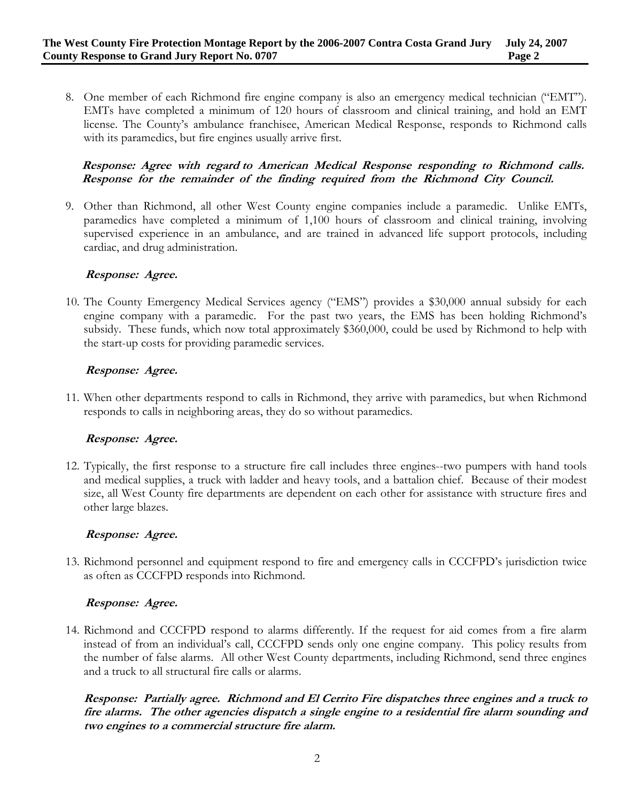8. One member of each Richmond fire engine company is also an emergency medical technician ("EMT"). EMTs have completed a minimum of 120 hours of classroom and clinical training, and hold an EMT license. The County's ambulance franchisee, American Medical Response, responds to Richmond calls with its paramedics, but fire engines usually arrive first.

# **Response: Agree with regard to American Medical Response responding to Richmond calls. Response for the remainder of the finding required from the Richmond City Council.**

9. Other than Richmond, all other West County engine companies include a paramedic. Unlike EMTs, paramedics have completed a minimum of 1,100 hours of classroom and clinical training, involving supervised experience in an ambulance, and are trained in advanced life support protocols, including cardiac, and drug administration.

# **Response: Agree.**

10. The County Emergency Medical Services agency ("EMS") provides a \$30,000 annual subsidy for each engine company with a paramedic. For the past two years, the EMS has been holding Richmond's subsidy. These funds, which now total approximately \$360,000, could be used by Richmond to help with the start-up costs for providing paramedic services.

### **Response: Agree.**

11. When other departments respond to calls in Richmond, they arrive with paramedics, but when Richmond responds to calls in neighboring areas, they do so without paramedics.

### **Response: Agree.**

12. Typically, the first response to a structure fire call includes three engines--two pumpers with hand tools and medical supplies, a truck with ladder and heavy tools, and a battalion chief. Because of their modest size, all West County fire departments are dependent on each other for assistance with structure fires and other large blazes.

### **Response: Agree.**

13. Richmond personnel and equipment respond to fire and emergency calls in CCCFPD's jurisdiction twice as often as CCCFPD responds into Richmond.

### **Response: Agree.**

14. Richmond and CCCFPD respond to alarms differently. If the request for aid comes from a fire alarm instead of from an individual's call, CCCFPD sends only one engine company. This policy results from the number of false alarms. All other West County departments, including Richmond, send three engines and a truck to all structural fire calls or alarms.

**Response: Partially agree. Richmond and El Cerrito Fire dispatches three engines and a truck to fire alarms. The other agencies dispatch a single engine to a residential fire alarm sounding and two engines to a commercial structure fire alarm.**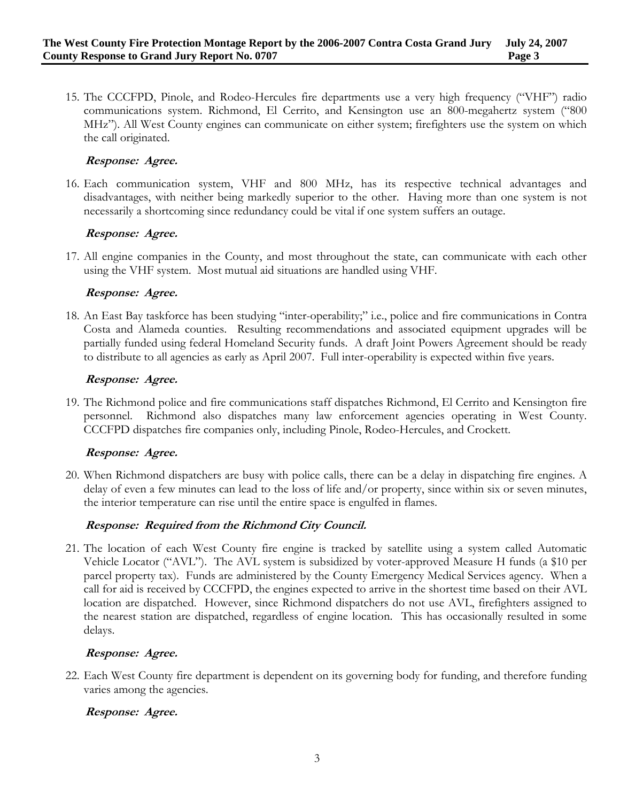15. The CCCFPD, Pinole, and Rodeo-Hercules fire departments use a very high frequency ("VHF") radio communications system. Richmond, El Cerrito, and Kensington use an 800-megahertz system ("800 MHz"). All West County engines can communicate on either system; firefighters use the system on which the call originated.

### **Response: Agree.**

16. Each communication system, VHF and 800 MHz, has its respective technical advantages and disadvantages, with neither being markedly superior to the other. Having more than one system is not necessarily a shortcoming since redundancy could be vital if one system suffers an outage.

### **Response: Agree.**

17. All engine companies in the County, and most throughout the state, can communicate with each other using the VHF system. Most mutual aid situations are handled using VHF.

#### **Response: Agree.**

18. An East Bay taskforce has been studying "inter-operability;" i.e., police and fire communications in Contra Costa and Alameda counties. Resulting recommendations and associated equipment upgrades will be partially funded using federal Homeland Security funds. A draft Joint Powers Agreement should be ready to distribute to all agencies as early as April 2007. Full inter-operability is expected within five years.

#### **Response: Agree.**

19. The Richmond police and fire communications staff dispatches Richmond, El Cerrito and Kensington fire personnel. Richmond also dispatches many law enforcement agencies operating in West County. CCCFPD dispatches fire companies only, including Pinole, Rodeo-Hercules, and Crockett.

#### **Response: Agree.**

20. When Richmond dispatchers are busy with police calls, there can be a delay in dispatching fire engines. A delay of even a few minutes can lead to the loss of life and/or property, since within six or seven minutes, the interior temperature can rise until the entire space is engulfed in flames.

### **Response: Required from the Richmond City Council.**

21. The location of each West County fire engine is tracked by satellite using a system called Automatic Vehicle Locator ("AVL"). The AVL system is subsidized by voter-approved Measure H funds (a \$10 per parcel property tax). Funds are administered by the County Emergency Medical Services agency. When a call for aid is received by CCCFPD, the engines expected to arrive in the shortest time based on their AVL location are dispatched. However, since Richmond dispatchers do not use AVL, firefighters assigned to the nearest station are dispatched, regardless of engine location. This has occasionally resulted in some delays.

#### **Response: Agree.**

22. Each West County fire department is dependent on its governing body for funding, and therefore funding varies among the agencies.

### **Response: Agree.**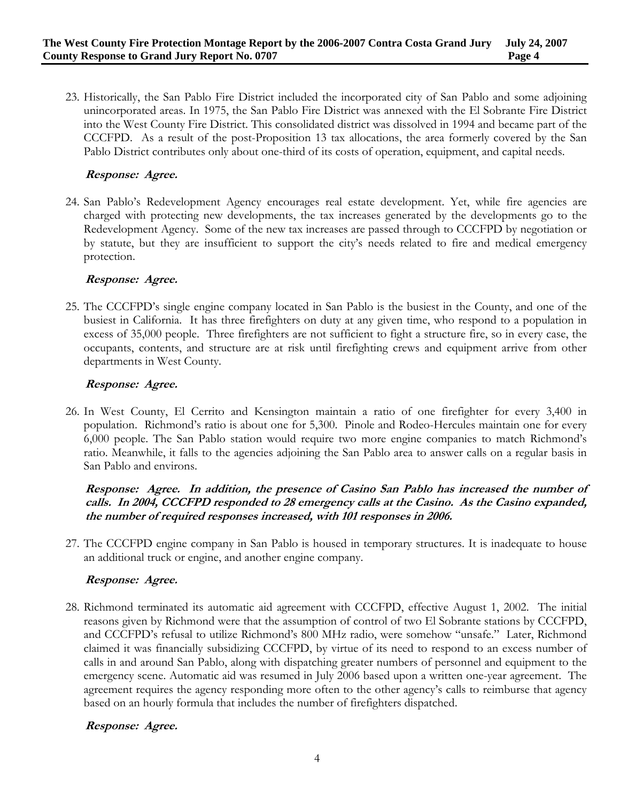23. Historically, the San Pablo Fire District included the incorporated city of San Pablo and some adjoining unincorporated areas. In 1975, the San Pablo Fire District was annexed with the El Sobrante Fire District into the West County Fire District. This consolidated district was dissolved in 1994 and became part of the CCCFPD. As a result of the post-Proposition 13 tax allocations, the area formerly covered by the San Pablo District contributes only about one-third of its costs of operation, equipment, and capital needs.

# **Response: Agree.**

24. San Pablo's Redevelopment Agency encourages real estate development. Yet, while fire agencies are charged with protecting new developments, the tax increases generated by the developments go to the Redevelopment Agency. Some of the new tax increases are passed through to CCCFPD by negotiation or by statute, but they are insufficient to support the city's needs related to fire and medical emergency protection.

# **Response: Agree.**

25. The CCCFPD's single engine company located in San Pablo is the busiest in the County, and one of the busiest in California. It has three firefighters on duty at any given time, who respond to a population in excess of 35,000 people. Three firefighters are not sufficient to fight a structure fire, so in every case, the occupants, contents, and structure are at risk until firefighting crews and equipment arrive from other departments in West County.

# **Response: Agree.**

26. In West County, El Cerrito and Kensington maintain a ratio of one firefighter for every 3,400 in population. Richmond's ratio is about one for 5,300. Pinole and Rodeo-Hercules maintain one for every 6,000 people. The San Pablo station would require two more engine companies to match Richmond's ratio. Meanwhile, it falls to the agencies adjoining the San Pablo area to answer calls on a regular basis in San Pablo and environs.

# **Response: Agree. In addition, the presence of Casino San Pablo has increased the number of calls. In 2004, CCCFPD responded to 28 emergency calls at the Casino. As the Casino expanded, the number of required responses increased, with 101 responses in 2006.**

27. The CCCFPD engine company in San Pablo is housed in temporary structures. It is inadequate to house an additional truck or engine, and another engine company.

### **Response: Agree.**

28. Richmond terminated its automatic aid agreement with CCCFPD, effective August 1, 2002. The initial reasons given by Richmond were that the assumption of control of two El Sobrante stations by CCCFPD, and CCCFPD's refusal to utilize Richmond's 800 MHz radio, were somehow "unsafe." Later, Richmond claimed it was financially subsidizing CCCFPD, by virtue of its need to respond to an excess number of calls in and around San Pablo, along with dispatching greater numbers of personnel and equipment to the emergency scene. Automatic aid was resumed in July 2006 based upon a written one-year agreement. The agreement requires the agency responding more often to the other agency's calls to reimburse that agency based on an hourly formula that includes the number of firefighters dispatched.

# **Response: Agree.**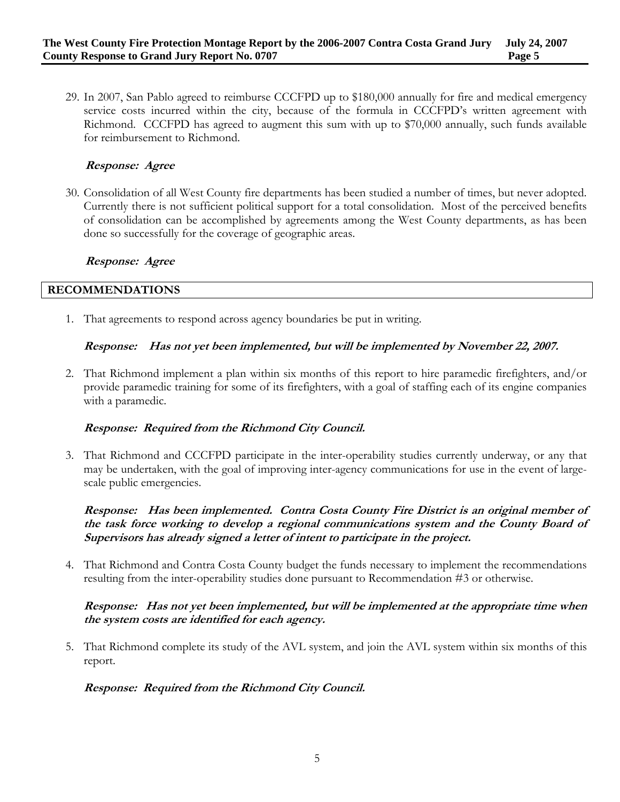29. In 2007, San Pablo agreed to reimburse CCCFPD up to \$180,000 annually for fire and medical emergency service costs incurred within the city, because of the formula in CCCFPD's written agreement with Richmond. CCCFPD has agreed to augment this sum with up to \$70,000 annually, such funds available for reimbursement to Richmond.

# **Response: Agree**

30. Consolidation of all West County fire departments has been studied a number of times, but never adopted. Currently there is not sufficient political support for a total consolidation. Most of the perceived benefits of consolidation can be accomplished by agreements among the West County departments, as has been done so successfully for the coverage of geographic areas.

#### **Response: Agree**

#### **RECOMMENDATIONS**

1. That agreements to respond across agency boundaries be put in writing.

### **Response: Has not yet been implemented, but will be implemented by November 22, 2007.**

2. That Richmond implement a plan within six months of this report to hire paramedic firefighters, and/or provide paramedic training for some of its firefighters, with a goal of staffing each of its engine companies with a paramedic.

### **Response: Required from the Richmond City Council.**

3. That Richmond and CCCFPD participate in the inter-operability studies currently underway, or any that may be undertaken, with the goal of improving inter-agency communications for use in the event of largescale public emergencies.

**Response: Has been implemented. Contra Costa County Fire District is an original member of the task force working to develop a regional communications system and the County Board of Supervisors has already signed a letter of intent to participate in the project.** 

4. That Richmond and Contra Costa County budget the funds necessary to implement the recommendations resulting from the inter-operability studies done pursuant to Recommendation #3 or otherwise.

### **Response: Has not yet been implemented, but will be implemented at the appropriate time when the system costs are identified for each agency.**

5. That Richmond complete its study of the AVL system, and join the AVL system within six months of this report.

### **Response: Required from the Richmond City Council.**